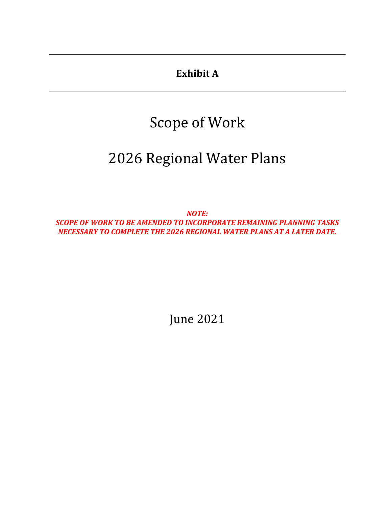## **Exhibit A**

## Scope of Work

# 2026 Regional Water Plans

*NOTE: SCOPE OF WORK TO BE AMENDED TO INCORPORATE REMAINING PLANNING TASKS NECESSARY TO COMPLETE THE 2026 REGIONAL WATER PLANS AT A LATER DATE.*

June 2021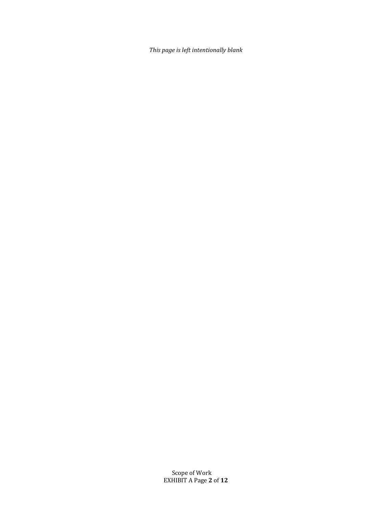*This page is left intentionally blank*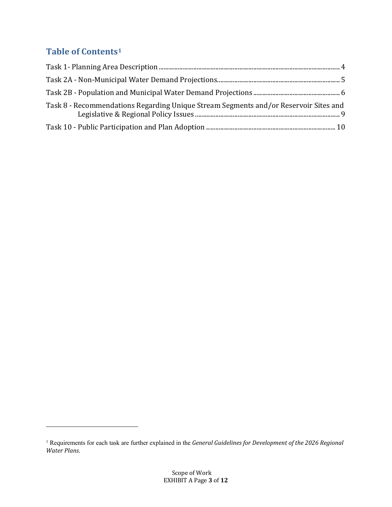## **Table of Contents[1](#page-2-0)**

| Task 8 - Recommendations Regarding Unique Stream Segments and/or Reservoir Sites and |  |
|--------------------------------------------------------------------------------------|--|
|                                                                                      |  |

<span id="page-2-0"></span><sup>1</sup> Requirements for each task are further explained in the *General Guidelines for Development of the 2026 Regional Water Plans*.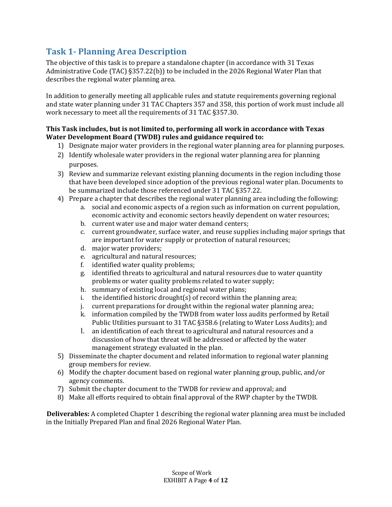## <span id="page-3-0"></span>**Task 1- Planning Area Description**

The objective of this task is to prepare a standalone chapter (in accordance with 31 Texas Administrative Code (TAC) §357.22(b)) to be included in the 2026 Regional Water Plan that describes the regional water planning area.

In addition to generally meeting all applicable rules and statute requirements governing regional and state water planning under 31 TAC Chapters 357 and 358, this portion of work must include all work necessary to meet all the requirements of 31 TAC §357.30.

#### **This Task includes, but is not limited to, performing all work in accordance with Texas Water Development Board (TWDB) rules and guidance required to:**

- 1) Designate major water providers in the regional water planning area for planning purposes.
- 2) Identify wholesale water providers in the regional water planning area for planning purposes.
- 3) Review and summarize relevant existing planning documents in the region including those that have been developed since adoption of the previous regional water plan. Documents to be summarized include those referenced under 31 TAC §357.22.
- 4) Prepare a chapter that describes the regional water planning area including the following:
	- a. social and economic aspects of a region such as information on current population, economic activity and economic sectors heavily dependent on water resources;
	- b. current water use and major water demand centers;
	- c. current groundwater, surface water, and reuse supplies including major springs that are important for water supply or protection of natural resources;
	- d. major water providers;
	- e. agricultural and natural resources;
	- f. identified water quality problems;
	- g. identified threats to agricultural and natural resources due to water quantity problems or water quality problems related to water supply;
	- h. summary of existing local and regional water plans;
	- i. the identified historic drought(s) of record within the planning area;
	- j. current preparations for drought within the regional water planning area;
	- k. information compiled by the TWDB from water loss audits performed by Retail Public Utilities pursuant to 31 TAC §358.6 (relating to Water Loss Audits); and
	- l. an identification of each threat to agricultural and natural resources and a discussion of how that threat will be addressed or affected by the water management strategy evaluated in the plan.
- 5) Disseminate the chapter document and related information to regional water planning group members for review.
- 6) Modify the chapter document based on regional water planning group, public, and/or agency comments.
- 7) Submit the chapter document to the TWDB for review and approval; and
- 8) Make all efforts required to obtain final approval of the RWP chapter by the TWDB.

**Deliverables:** A completed Chapter 1 describing the regional water planning area must be included in the Initially Prepared Plan and final 2026 Regional Water Plan.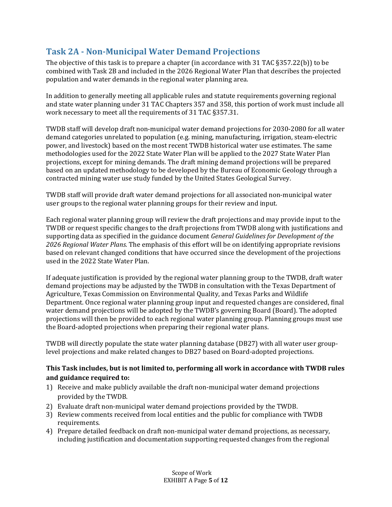### <span id="page-4-0"></span>**Task 2A - Non-Municipal Water Demand Projections**

The objective of this task is to prepare a chapter (in accordance with 31 TAC §357.22(b)) to be combined with Task 2B and included in the 2026 Regional Water Plan that describes the projected population and water demands in the regional water planning area.

In addition to generally meeting all applicable rules and statute requirements governing regional and state water planning under 31 TAC Chapters 357 and 358, this portion of work must include all work necessary to meet all the requirements of 31 TAC §357.31.

TWDB staff will develop draft non-municipal water demand projections for 2030-2080 for all water demand categories unrelated to population (e.g. mining, manufacturing, irrigation, steam-electric power, and livestock) based on the most recent TWDB historical water use estimates. The same methodologies used for the 2022 State Water Plan will be applied to the 2027 State Water Plan projections, except for mining demands. The draft mining demand projections will be prepared based on an updated methodology to be developed by the Bureau of Economic Geology through a contracted mining water use study funded by the United States Geological Survey.

TWDB staff will provide draft water demand projections for all associated non-municipal water user groups to the regional water planning groups for their review and input.

Each regional water planning group will review the draft projections and may provide input to the TWDB or request specific changes to the draft projections from TWDB along with justifications and supporting data as specified in the guidance document *General Guidelines for Development of the 2026 Regional Water Plans.* The emphasis of this effort will be on identifying appropriate revisions based on relevant changed conditions that have occurred since the development of the projections used in the 2022 State Water Plan.

If adequate justification is provided by the regional water planning group to the TWDB, draft water demand projections may be adjusted by the TWDB in consultation with the Texas Department of Agriculture, Texas Commission on Environmental Quality, and Texas Parks and Wildlife Department. Once regional water planning group input and requested changes are considered, final water demand projections will be adopted by the TWDB's governing Board (Board). The adopted projections will then be provided to each regional water planning group. Planning groups must use the Board-adopted projections when preparing their regional water plans.

TWDB will directly populate the state water planning database (DB27) with all water user grouplevel projections and make related changes to DB27 based on Board-adopted projections.

#### **This Task includes, but is not limited to, performing all work in accordance with TWDB rules and guidance required to:**

- 1) Receive and make publicly available the draft non-municipal water demand projections provided by the TWDB.
- 2) Evaluate draft non-municipal water demand projections provided by the TWDB.
- 3) Review comments received from local entities and the public for compliance with TWDB requirements.
- 4) Prepare detailed feedback on draft non-municipal water demand projections, as necessary, including justification and documentation supporting requested changes from the regional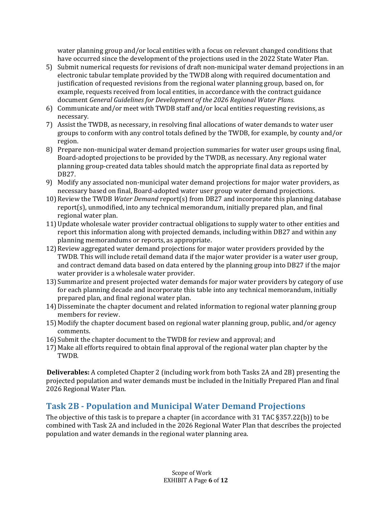water planning group and/or local entities with a focus on relevant changed conditions that have occurred since the development of the projections used in the 2022 State Water Plan.

- 5) Submit numerical requests for revisions of draft non-municipal water demand projections in an electronic tabular template provided by the TWDB along with required documentation and justification of requested revisions from the regional water planning group, based on, for example, requests received from local entities, in accordance with the contract guidance document *General Guidelines for Development of the 2026 Regional Water Plans.*
- 6) Communicate and/or meet with TWDB staff and/or local entities requesting revisions, as necessary.
- 7) Assist the TWDB, as necessary, in resolving final allocations of water demands to water user groups to conform with any control totals defined by the TWDB, for example, by county and/or region.
- 8) Prepare non-municipal water demand projection summaries for water user groups using final, Board-adopted projections to be provided by the TWDB, as necessary. Any regional water planning group-created data tables should match the appropriate final data as reported by DB27.
- 9) Modify any associated non-municipal water demand projections for major water providers, as necessary based on final, Board-adopted water user group water demand projections.
- 10)Review the TWDB *Water Demand* report(s) from DB27 and incorporate this planning database report(s), unmodified, into any technical memorandum, initially prepared plan, and final regional water plan.
- 11)Update wholesale water provider contractual obligations to supply water to other entities and report this information along with projected demands, including within DB27 and within any planning memorandums or reports, as appropriate.
- 12)Review aggregated water demand projections for major water providers provided by the TWDB. This will include retail demand data if the major water provider is a water user group, and contract demand data based on data entered by the planning group into DB27 if the major water provider is a wholesale water provider.
- 13) Summarize and present projected water demands for major water providers by category of use for each planning decade and incorporate this table into any technical memorandum, initially prepared plan, and final regional water plan.
- 14)Disseminate the chapter document and related information to regional water planning group members for review.
- 15) Modify the chapter document based on regional water planning group, public, and/or agency comments.
- 16) Submit the chapter document to the TWDB for review and approval; and
- 17) Make all efforts required to obtain final approval of the regional water plan chapter by the TWDB.

**Deliverables:** A completed Chapter 2 (including work from both Tasks 2A and 2B) presenting the projected population and water demands must be included in the Initially Prepared Plan and final 2026 Regional Water Plan.

## <span id="page-5-0"></span>**Task 2B - Population and Municipal Water Demand Projections**

The objective of this task is to prepare a chapter (in accordance with 31 TAC §357.22(b)) to be combined with Task 2A and included in the 2026 Regional Water Plan that describes the projected population and water demands in the regional water planning area.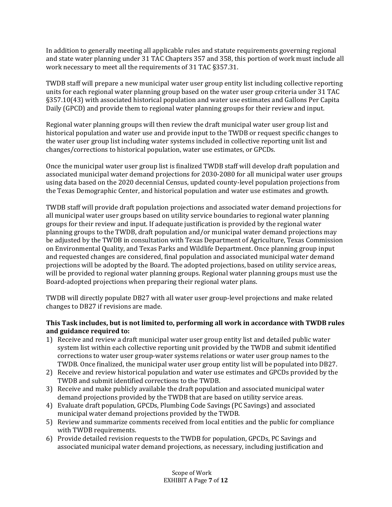In addition to generally meeting all applicable rules and statute requirements governing regional and state water planning under 31 TAC Chapters 357 and 358, this portion of work must include all work necessary to meet all the requirements of 31 TAC §357.31.

TWDB staff will prepare a new municipal water user group entity list including collective reporting units for each regional water planning group based on the water user group criteria under 31 TAC §357.10(43) with associated historical population and water use estimates and Gallons Per Capita Daily (GPCD) and provide them to regional water planning groups for their review and input.

Regional water planning groups will then review the draft municipal water user group list and historical population and water use and provide input to the TWDB or request specific changes to the water user group list including water systems included in collective reporting unit list and changes/corrections to historical population, water use estimates, or GPCDs.

Once the municipal water user group list is finalized TWDB staff will develop draft population and associated municipal water demand projections for 2030-2080 for all municipal water user groups using data based on the 2020 decennial Census, updated county-level population projections from the Texas Demographic Center, and historical population and water use estimates and growth.

TWDB staff will provide draft population projections and associated water demand projections for all municipal water user groups based on utility service boundaries to regional water planning groups for their review and input. If adequate justification is provided by the regional water planning groups to the TWDB, draft population and/or municipal water demand projections may be adjusted by the TWDB in consultation with Texas Department of Agriculture, Texas Commission on Environmental Quality, and Texas Parks and Wildlife Department. Once planning group input and requested changes are considered, final population and associated municipal water demand projections will be adopted by the Board. The adopted projections, based on utility service areas, will be provided to regional water planning groups. Regional water planning groups must use the Board-adopted projections when preparing their regional water plans.

TWDB will directly populate DB27 with all water user group-level projections and make related changes to DB27 if revisions are made.

#### **This Task includes, but is not limited to, performing all work in accordance with TWDB rules and guidance required to:**

- 1) Receive and review a draft municipal water user group entity list and detailed public water system list within each collective reporting unit provided by the TWDB and submit identified corrections to water user group-water systems relations or water user group names to the TWDB. Once finalized, the municipal water user group entity list will be populated into DB27.
- 2) Receive and review historical population and water use estimates and GPCDs provided by the TWDB and submit identified corrections to the TWDB.
- 3) Receive and make publicly available the draft population and associated municipal water demand projections provided by the TWDB that are based on utility service areas.
- 4) Evaluate draft population, GPCDs, Plumbing Code Savings (PC Savings) and associated municipal water demand projections provided by the TWDB.
- 5) Review and summarize comments received from local entities and the public for compliance with TWDB requirements.
- 6) Provide detailed revision requests to the TWDB for population, GPCDs, PC Savings and associated municipal water demand projections, as necessary, including justification and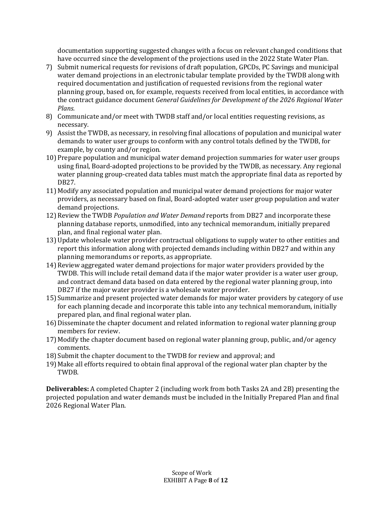documentation supporting suggested changes with a focus on relevant changed conditions that have occurred since the development of the projections used in the 2022 State Water Plan.

- 7) Submit numerical requests for revisions of draft population, GPCDs, PC Savings and municipal water demand projections in an electronic tabular template provided by the TWDB along with required documentation and justification of requested revisions from the regional water planning group, based on, for example, requests received from local entities, in accordance with the contract guidance document *General Guidelines for Development of the 2026 Regional Water Plans.*
- 8) Communicate and/or meet with TWDB staff and/or local entities requesting revisions, as necessary.
- 9) Assist the TWDB, as necessary, in resolving final allocations of population and municipal water demands to water user groups to conform with any control totals defined by the TWDB, for example, by county and/or region.
- 10) Prepare population and municipal water demand projection summaries for water user groups using final, Board-adopted projections to be provided by the TWDB, as necessary. Any regional water planning group-created data tables must match the appropriate final data as reported by DB27.
- 11) Modify any associated population and municipal water demand projections for major water providers, as necessary based on final, Board-adopted water user group population and water demand projections.
- 12)Review the TWDB *Population and Water Demand* reports from DB27 and incorporate these planning database reports, unmodified, into any technical memorandum, initially prepared plan, and final regional water plan.
- 13)Update wholesale water provider contractual obligations to supply water to other entities and report this information along with projected demands including within DB27 and within any planning memorandums or reports, as appropriate.
- 14)Review aggregated water demand projections for major water providers provided by the TWDB. This will include retail demand data if the major water provider is a water user group, and contract demand data based on data entered by the regional water planning group, into DB27 if the major water provider is a wholesale water provider.
- 15) Summarize and present projected water demands for major water providers by category of use for each planning decade and incorporate this table into any technical memorandum, initially prepared plan, and final regional water plan.
- 16)Disseminate the chapter document and related information to regional water planning group members for review.
- 17) Modify the chapter document based on regional water planning group, public, and/or agency comments.
- 18) Submit the chapter document to the TWDB for review and approval; and
- 19) Make all efforts required to obtain final approval of the regional water plan chapter by the TWDB.

**Deliverables:** A completed Chapter 2 (including work from both Tasks 2A and 2B) presenting the projected population and water demands must be included in the Initially Prepared Plan and final 2026 Regional Water Plan.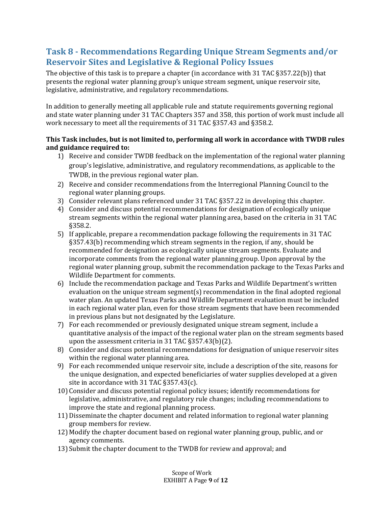### <span id="page-8-0"></span>**Task 8 - Recommendations Regarding Unique Stream Segments and/or Reservoir Sites and Legislative & Regional Policy Issues**

The objective of this task is to prepare a chapter (in accordance with 31 TAC §357.22(b)) that presents the regional water planning group's unique stream segment, unique reservoir site, legislative, administrative, and regulatory recommendations.

In addition to generally meeting all applicable rule and statute requirements governing regional and state water planning under 31 TAC Chapters 357 and 358, this portion of work must include all work necessary to meet all the requirements of 31 TAC §357.43 and §358.2.

#### **This Task includes, but is not limited to, performing all work in accordance with TWDB rules and guidance required to:**

- 1) Receive and consider TWDB feedback on the implementation of the regional water planning group's legislative, administrative, and regulatory recommendations, as applicable to the TWDB, in the previous regional water plan.
- 2) Receive and consider recommendations from the Interregional Planning Council to the regional water planning groups.
- 3) Consider relevant plans referenced under 31 TAC §357.22 in developing this chapter.
- 4) Consider and discuss potential recommendations for designation of ecologically unique stream segments within the regional water planning area, based on the criteria in 31 TAC §358.2.
- 5) If applicable, prepare a recommendation package following the requirements in 31 TAC §357.43(b) recommending which stream segments in the region, if any, should be recommended for designation as ecologically unique stream segments. Evaluate and incorporate comments from the regional water planning group. Upon approval by the regional water planning group, submit the recommendation package to the Texas Parks and Wildlife Department for comments.
- 6) Include the recommendation package and Texas Parks and Wildlife Department's written evaluation on the unique stream segment(s) recommendation in the final adopted regional water plan. An updated Texas Parks and Wildlife Department evaluation must be included in each regional water plan, even for those stream segments that have been recommended in previous plans but not designated by the Legislature.
- 7) For each recommended or previously designated unique stream segment, include a quantitative analysis of the impact of the regional water plan on the stream segments based upon the assessment criteria in 31 TAC §357.43(b)(2).
- 8) Consider and discuss potential recommendations for designation of unique reservoir sites within the regional water planning area.
- 9) For each recommended unique reservoir site, include a description of the site, reasons for the unique designation, and expected beneficiaries of water supplies developed at a given site in accordance with 31 TAC §357.43(c).
- 10) Consider and discuss potential regional policy issues; identify recommendations for legislative, administrative, and regulatory rule changes; including recommendations to improve the state and regional planning process.
- 11)Disseminate the chapter document and related information to regional water planning group members for review.
- 12) Modify the chapter document based on regional water planning group, public, and or agency comments.
- 13) Submit the chapter document to the TWDB for review and approval; and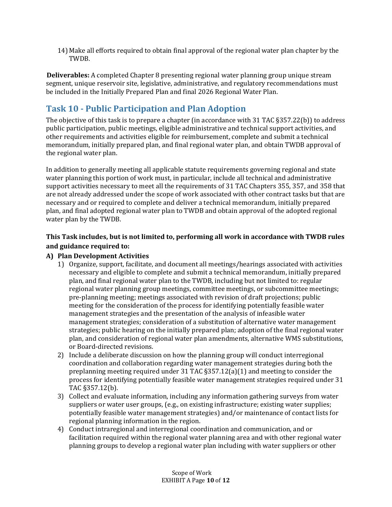14) Make all efforts required to obtain final approval of the regional water plan chapter by the TWDB.

**Deliverables:** A completed Chapter 8 presenting regional water planning group unique stream segment, unique reservoir site, legislative, administrative, and regulatory recommendations must be included in the Initially Prepared Plan and final 2026 Regional Water Plan.

## <span id="page-9-0"></span>**Task 10 - Public Participation and Plan Adoption**

The objective of this task is to prepare a chapter (in accordance with 31 TAC §357.22(b)) to address public participation, public meetings, eligible administrative and technical support activities, and other requirements and activities eligible for reimbursement, complete and submit a technical memorandum, initially prepared plan, and final regional water plan, and obtain TWDB approval of the regional water plan.

In addition to generally meeting all applicable statute requirements governing regional and state water planning this portion of work must, in particular, include all technical and administrative support activities necessary to meet all the requirements of 31 TAC Chapters 355, 357, and 358 that are not already addressed under the scope of work associated with other contract tasks but that are necessary and or required to complete and deliver a technical memorandum, initially prepared plan, and final adopted regional water plan to TWDB and obtain approval of the adopted regional water plan by the TWDB.

#### **This Task includes, but is not limited to, performing all work in accordance with TWDB rules and guidance required to:**

#### **A) Plan Development Activities**

- 1) Organize, support, facilitate, and document all meetings/hearings associated with activities necessary and eligible to complete and submit a technical memorandum, initially prepared plan, and final regional water plan to the TWDB, including but not limited to: regular regional water planning group meetings, committee meetings, or subcommittee meetings; pre-planning meeting; meetings associated with revision of draft projections; public meeting for the consideration of the process for identifying potentially feasible water management strategies and the presentation of the analysis of infeasible water management strategies; consideration of a substitution of alternative water management strategies; public hearing on the initially prepared plan; adoption of the final regional water plan, and consideration of regional water plan amendments, alternative WMS substitutions, or Board-directed revisions.
- 2) Include a deliberate discussion on how the planning group will conduct interregional coordination and collaboration regarding water management strategies during both the preplanning meeting required under 31 TAC  $\S 357.12(a)(1)$  and meeting to consider the process for identifying potentially feasible water management strategies required under 31 TAC §357.12(b).
- 3) Collect and evaluate information, including any information gathering surveys from water suppliers or water user groups, (e.g., on existing infrastructure; existing water supplies; potentially feasible water management strategies) and/or maintenance of contact lists for regional planning information in the region.
- 4) Conduct intraregional and interregional coordination and communication, and or facilitation required within the regional water planning area and with other regional water planning groups to develop a regional water plan including with water suppliers or other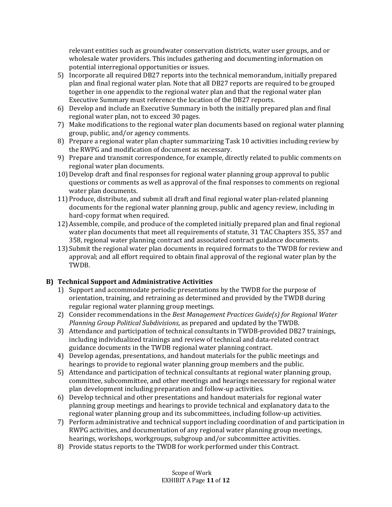relevant entities such as groundwater conservation districts, water user groups, and or wholesale water providers. This includes gathering and documenting information on potential interregional opportunities or issues.

- 5) Incorporate all required DB27 reports into the technical memorandum, initially prepared plan and final regional water plan. Note that all DB27 reports are required to be grouped together in one appendix to the regional water plan and that the regional water plan Executive Summary must reference the location of the DB27 reports.
- 6) Develop and include an Executive Summary in both the initially prepared plan and final regional water plan, not to exceed 30 pages.
- 7) Make modifications to the regional water plan documents based on regional water planning group, public, and/or agency comments.
- 8) Prepare a regional water plan chapter summarizing Task 10 activities including review by the RWPG and modification of document as necessary.
- 9) Prepare and transmit correspondence, for example, directly related to public comments on regional water plan documents.
- 10)Develop draft and final responses for regional water planning group approval to public questions or comments as well as approval of the final responses to comments on regional water plan documents.
- 11) Produce, distribute, and submit all draft and final regional water plan-related planning documents for the regional water planning group, public and agency review, including in hard-copy format when required.
- 12)Assemble, compile, and produce of the completed initially prepared plan and final regional water plan documents that meet all requirements of statute, 31 TAC Chapters 355, 357 and 358, regional water planning contract and associated contract guidance documents.
- 13) Submit the regional water plan documents in required formats to the TWDB for review and approval; and all effort required to obtain final approval of the regional water plan by the TWDB.

#### **B) Technical Support and Administrative Activities**

- 1) Support and accommodate periodic presentations by the TWDB for the purpose of orientation, training, and retraining as determined and provided by the TWDB during regular regional water planning group meetings.
- 2) Consider recommendations in the *Best Management Practices Guide(s) for Regional Water Planning Group Political Subdivisions*, as prepared and updated by the TWDB.
- 3) Attendance and participation of technical consultants in TWDB-provided DB27 trainings, including individualized trainings and review of technical and data-related contract guidance documents in the TWDB regional water planning contract.
- 4) Develop agendas, presentations, and handout materials for the public meetings and hearings to provide to regional water planning group members and the public.
- 5) Attendance and participation of technical consultants at regional water planning group, committee, subcommittee, and other meetings and hearings necessary for regional water plan development including preparation and follow-up activities.
- 6) Develop technical and other presentations and handout materials for regional water planning group meetings and hearings to provide technical and explanatory data to the regional water planning group and its subcommittees, including follow-up activities.
- 7) Perform administrative and technical support including coordination of and participation in RWPG activities, and documentation of any regional water planning group meetings, hearings, workshops, workgroups, subgroup and/or subcommittee activities.
- 8) Provide status reports to the TWDB for work performed under this Contract.